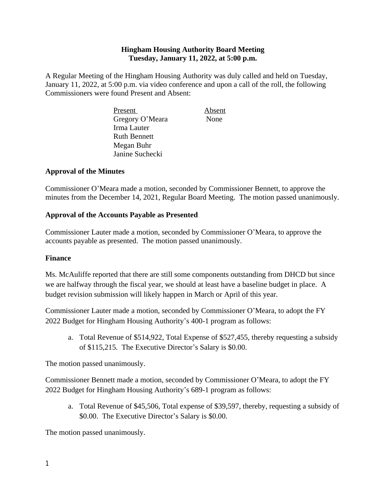### **Hingham Housing Authority Board Meeting Tuesday, January 11, 2022, at 5:00 p.m.**

A Regular Meeting of the Hingham Housing Authority was duly called and held on Tuesday, January 11, 2022, at 5:00 p.m. via video conference and upon a call of the roll, the following Commissioners were found Present and Absent:

> Present Absent Gregory O'Meara None Irma Lauter Ruth Bennett Megan Buhr Janine Suchecki

### **Approval of the Minutes**

Commissioner O'Meara made a motion, seconded by Commissioner Bennett, to approve the minutes from the December 14, 2021, Regular Board Meeting. The motion passed unanimously.

### **Approval of the Accounts Payable as Presented**

Commissioner Lauter made a motion, seconded by Commissioner O'Meara, to approve the accounts payable as presented. The motion passed unanimously.

#### **Finance**

Ms. McAuliffe reported that there are still some components outstanding from DHCD but since we are halfway through the fiscal year, we should at least have a baseline budget in place. A budget revision submission will likely happen in March or April of this year.

Commissioner Lauter made a motion, seconded by Commissioner O'Meara, to adopt the FY 2022 Budget for Hingham Housing Authority's 400-1 program as follows:

a. Total Revenue of \$514,922, Total Expense of \$527,455, thereby requesting a subsidy of \$115,215. The Executive Director's Salary is \$0.00.

The motion passed unanimously.

Commissioner Bennett made a motion, seconded by Commissioner O'Meara, to adopt the FY 2022 Budget for Hingham Housing Authority's 689-1 program as follows:

a. Total Revenue of \$45,506, Total expense of \$39,597, thereby, requesting a subsidy of \$0.00. The Executive Director's Salary is \$0.00.

The motion passed unanimously.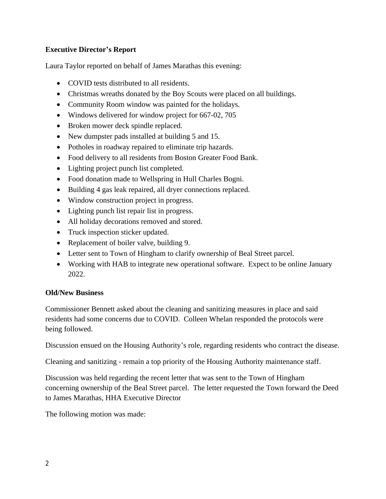## **Executive Director's Report**

Laura Taylor reported on behalf of James Marathas this evening:

- COVID tests distributed to all residents.
- Christmas wreaths donated by the Boy Scouts were placed on all buildings.
- Community Room window was painted for the holidays.
- Windows delivered for window project for 667-02, 705
- Broken mower deck spindle replaced.
- New dumpster pads installed at building 5 and 15.
- Potholes in roadway repaired to eliminate trip hazards.
- Food delivery to all residents from Boston Greater Food Bank.
- Lighting project punch list completed.
- Food donation made to Wellspring in Hull Charles Bogni.
- Building 4 gas leak repaired, all dryer connections replaced.
- Window construction project in progress.
- Lighting punch list repair list in progress.
- All holiday decorations removed and stored.
- Truck inspection sticker updated.
- Replacement of boiler valve, building 9.
- Letter sent to Town of Hingham to clarify ownership of Beal Street parcel.
- Working with HAB to integrate new operational software. Expect to be online January 2022.

### **Old/New Business**

Commissioner Bennett asked about the cleaning and sanitizing measures in place and said residents had some concerns due to COVID. Colleen Whelan responded the protocols were being followed.

Discussion ensued on the Housing Authority's role, regarding residents who contract the disease.

Cleaning and sanitizing - remain a top priority of the Housing Authority maintenance staff.

Discussion was held regarding the recent letter that was sent to the Town of Hingham concerning ownership of the Beal Street parcel. The letter requested the Town forward the Deed to James Marathas, HHA Executive Director

The following motion was made: